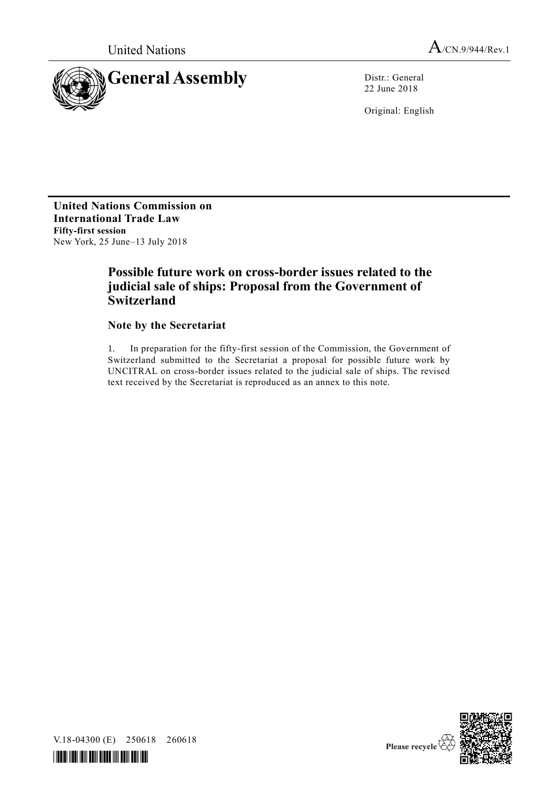



22 June 2018

Original: English

**United Nations Commission on International Trade Law Fifty-first session**  New York, 25 June–13 July 2018

# **Possible future work on cross-border issues related to the judicial sale of ships: Proposal from the Government of Switzerland**

# **Note by the Secretariat**

1. In preparation for the fifty-first session of the Commission, the Government of Switzerland submitted to the Secretariat a proposal for possible future work by UNCITRAL on cross-border issues related to the judicial sale of ships. The revised text received by the Secretariat is reproduced as an annex to this note.



V.18-04300 (E) 250618 260618

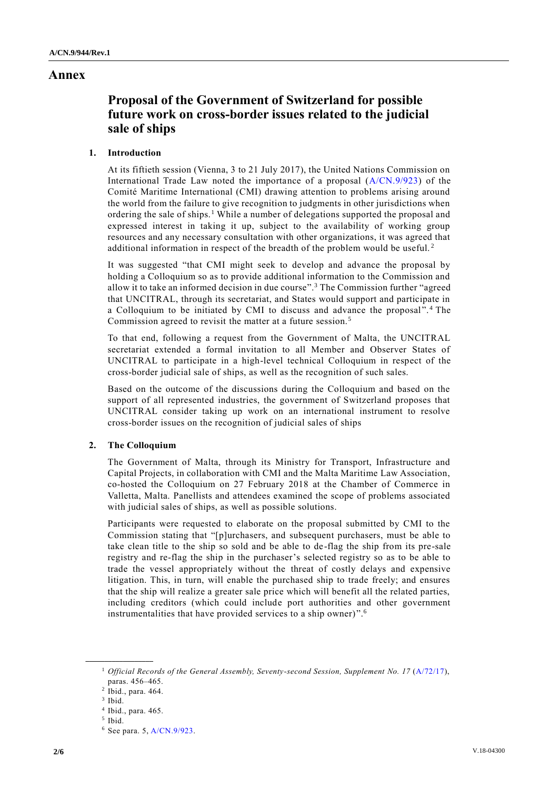# **Annex**

# **Proposal of the Government of Switzerland for possible future work on cross-border issues related to the judicial sale of ships**

## **1. Introduction**

At its fiftieth session (Vienna, 3 to 21 July 2017), the United Nations Commission on International Trade Law noted the importance of a proposal [\(A/CN.9/923\)](http://undocs.org/A/CN.9/923) of the Comité Maritime International (CMI) drawing attention to problems arising around the world from the failure to give recognition to judgments in other jurisdictions when ordering the sale of ships.<sup>1</sup> While a number of delegations supported the proposal and expressed interest in taking it up, subject to the availability of working group resources and any necessary consultation with other organizations, it was agreed that additional information in respect of the breadth of the problem would be useful. <sup>2</sup>

It was suggested "that CMI might seek to develop and advance the proposal by holding a Colloquium so as to provide additional information to the Commission and allow it to take an informed decision in due course".<sup>3</sup> The Commission further "agreed that UNCITRAL, through its secretariat, and States would support and participate in a Colloquium to be initiated by CMI to discuss and advance the proposal".<sup>4</sup> The Commission agreed to revisit the matter at a future session.<sup>5</sup>

To that end, following a request from the Government of Malta, the UNCITRAL secretariat extended a formal invitation to all Member and Observer States of UNCITRAL to participate in a high-level technical Colloquium in respect of the cross-border judicial sale of ships, as well as the recognition of such sales.

Based on the outcome of the discussions during the Colloquium and based on the support of all represented industries, the government of Switzerland proposes that UNCITRAL consider taking up work on an international instrument to resolve cross-border issues on the recognition of judicial sales of ships

## **2. The Colloquium**

The Government of Malta, through its Ministry for Transport, Infrastructure and Capital Projects, in collaboration with CMI and the Malta Maritime Law Association, co-hosted the Colloquium on 27 February 2018 at the Chamber of Commerce in Valletta, Malta. Panellists and attendees examined the scope of problems associated with judicial sales of ships, as well as possible solutions.

Participants were requested to elaborate on the proposal submitted by CMI to the Commission stating that "[p]urchasers, and subsequent purchasers, must be able to take clean title to the ship so sold and be able to de-flag the ship from its pre-sale registry and re-flag the ship in the purchaser's selected registry so as to be able to trade the vessel appropriately without the threat of costly delays and expensive litigation. This, in turn, will enable the purchased ship to trade freely; and ensures that the ship will realize a greater sale price which will benefit all the related parties, including creditors (which could include port authorities and other government instrumentalities that have provided services to a ship owner) ".<sup>6</sup>

**\_\_\_\_\_\_\_\_\_\_\_\_\_\_\_\_\_\_**

<sup>&</sup>lt;sup>1</sup> Official Records of the General Assembly, Seventy-second Session, Supplement No. 17 [\(A/72/17\)](http://undocs.org/A/72/17), paras. 456–465.

<sup>2</sup> Ibid., para. 464.

<sup>3</sup> Ibid.

<sup>4</sup> Ibid., para. 465.

<sup>5</sup> Ibid.

<sup>6</sup> See para. 5[, A/CN.9/923.](http://undocs.org/A/CN.9/923)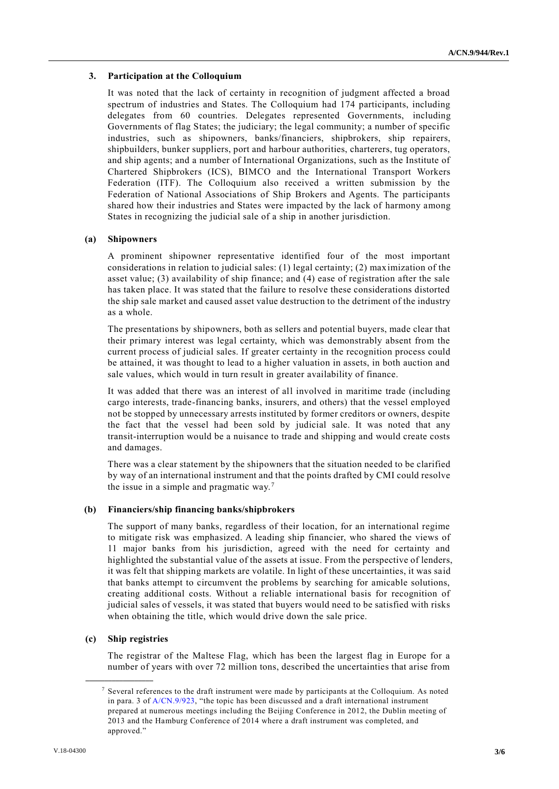### **3. Participation at the Colloquium**

It was noted that the lack of certainty in recognition of judgment affected a broad spectrum of industries and States. The Colloquium had 174 participants, including delegates from 60 countries. Delegates represented Governments, including Governments of flag States; the judiciary; the legal community; a number of specific industries, such as shipowners, banks/financiers, shipbrokers, ship repairers, shipbuilders, bunker suppliers, port and harbour authorities, charterers, tug operators, and ship agents; and a number of International Organizations, such as the Institute of Chartered Shipbrokers (ICS), BIMCO and the International Transport Workers Federation (ITF). The Colloquium also received a written submission by the Federation of National Associations of Ship Brokers and Agents. The participants shared how their industries and States were impacted by the lack of harmony among States in recognizing the judicial sale of a ship in another jurisdiction.

#### **(a) Shipowners**

A prominent shipowner representative identified four of the most important considerations in relation to judicial sales: (1) legal certainty; (2) maximization of the asset value; (3) availability of ship finance; and (4) ease of registration after the sale has taken place. It was stated that the failure to resolve these considerations distorted the ship sale market and caused asset value destruction to the detriment of the industry as a whole.

The presentations by shipowners, both as sellers and potential buyers, made clear that their primary interest was legal certainty, which was demonstrably absent from the current process of judicial sales. If greater certainty in the recognition process could be attained, it was thought to lead to a higher valuation in assets, in both auction and sale values, which would in turn result in greater availability of finance.

It was added that there was an interest of all involved in maritime trade (including cargo interests, trade-financing banks, insurers, and others) that the vessel employed not be stopped by unnecessary arrests instituted by former creditors or owners, despite the fact that the vessel had been sold by judicial sale. It was noted that any transit-interruption would be a nuisance to trade and shipping and would create costs and damages.

There was a clear statement by the shipowners that the situation needed to be clarified by way of an international instrument and that the points drafted by CMI could resolve the issue in a simple and pragmatic way. <sup>7</sup>

#### **(b) Financiers/ship financing banks/shipbrokers**

The support of many banks, regardless of their location, for an international regime to mitigate risk was emphasized. A leading ship financier, who shared the views of 11 major banks from his jurisdiction, agreed with the need for certainty and highlighted the substantial value of the assets at issue. From the perspective of lenders, it was felt that shipping markets are volatile. In light of these uncertainties, it was said that banks attempt to circumvent the problems by searching for amicable solutions, creating additional costs. Without a reliable international basis for recognition of judicial sales of vessels, it was stated that buyers would need to be satisfied with risks when obtaining the title, which would drive down the sale price.

#### **(c) Ship registries**

**\_\_\_\_\_\_\_\_\_\_\_\_\_\_\_\_\_\_**

The registrar of the Maltese Flag, which has been the largest flag in Europe for a number of years with over 72 million tons, described the uncertainties that arise from

 $7$  Several references to the draft instrument were made by participants at the Colloquium. As noted in para. 3 of [A/CN.9/923,](http://undocs.org/A/CN.9/923) "the topic has been discussed and a draft international instrument prepared at numerous meetings including the Beijing Conference in 2012, the Dublin meeting of 2013 and the Hamburg Conference of 2014 where a draft instrument was completed, and approved."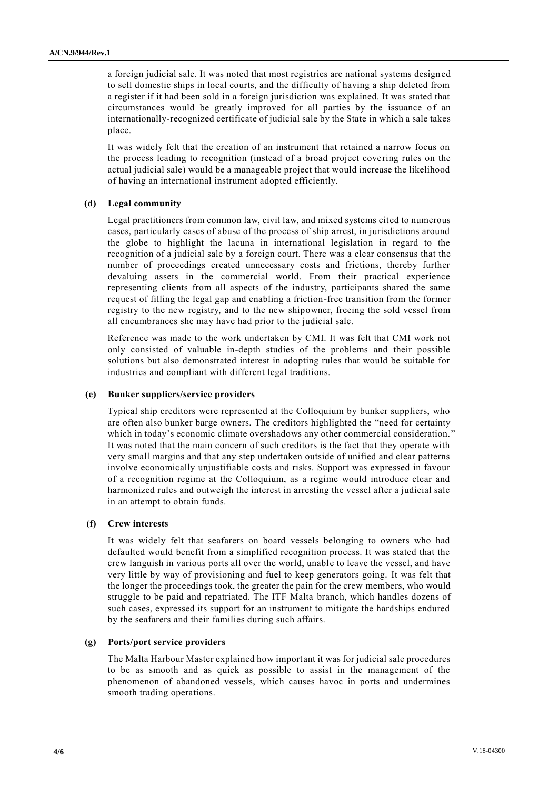a foreign judicial sale. It was noted that most registries are national systems design ed to sell domestic ships in local courts, and the difficulty of having a ship deleted from a register if it had been sold in a foreign jurisdiction was explained. It was stated that circumstances would be greatly improved for all parties by the issuance of an internationally-recognized certificate of judicial sale by the State in which a sale takes place.

It was widely felt that the creation of an instrument that retained a narrow focus on the process leading to recognition (instead of a broad project covering rules on the actual judicial sale) would be a manageable project that would increase the likelihood of having an international instrument adopted efficiently.

#### **(d) Legal community**

Legal practitioners from common law, civil law, and mixed systems cited to numerous cases, particularly cases of abuse of the process of ship arrest, in jurisdictions around the globe to highlight the lacuna in international legislation in regard to the recognition of a judicial sale by a foreign court. There was a clear consensus that the number of proceedings created unnecessary costs and frictions, thereby further devaluing assets in the commercial world. From their practical experience representing clients from all aspects of the industry, participants shared the same request of filling the legal gap and enabling a friction-free transition from the former registry to the new registry, and to the new shipowner, freeing the sold vessel from all encumbrances she may have had prior to the judicial sale.

Reference was made to the work undertaken by CMI. It was felt that CMI work not only consisted of valuable in-depth studies of the problems and their possible solutions but also demonstrated interest in adopting rules that would be suitable for industries and compliant with different legal traditions.

#### **(e) Bunker suppliers/service providers**

Typical ship creditors were represented at the Colloquium by bunker suppliers, who are often also bunker barge owners. The creditors highlighted the "need for certainty which in today's economic climate overshadows any other commercial consideration." It was noted that the main concern of such creditors is the fact that they operate with very small margins and that any step undertaken outside of unified and clear patterns involve economically unjustifiable costs and risks. Support was expressed in favour of a recognition regime at the Colloquium, as a regime would introduce clear and harmonized rules and outweigh the interest in arresting the vessel after a judicial sale in an attempt to obtain funds.

#### **(f) Crew interests**

It was widely felt that seafarers on board vessels belonging to owners who had defaulted would benefit from a simplified recognition process. It was stated that the crew languish in various ports all over the world, unable to leave the vessel, and have very little by way of provisioning and fuel to keep generators going. It was felt that the longer the proceedings took, the greater the pain for the crew members, who would struggle to be paid and repatriated. The ITF Malta branch, which handles dozens of such cases, expressed its support for an instrument to mitigate the hardships endured by the seafarers and their families during such affairs.

#### **(g) Ports/port service providers**

The Malta Harbour Master explained how important it was for judicial sale procedures to be as smooth and as quick as possible to assist in the management of the phenomenon of abandoned vessels, which causes havoc in ports and undermines smooth trading operations.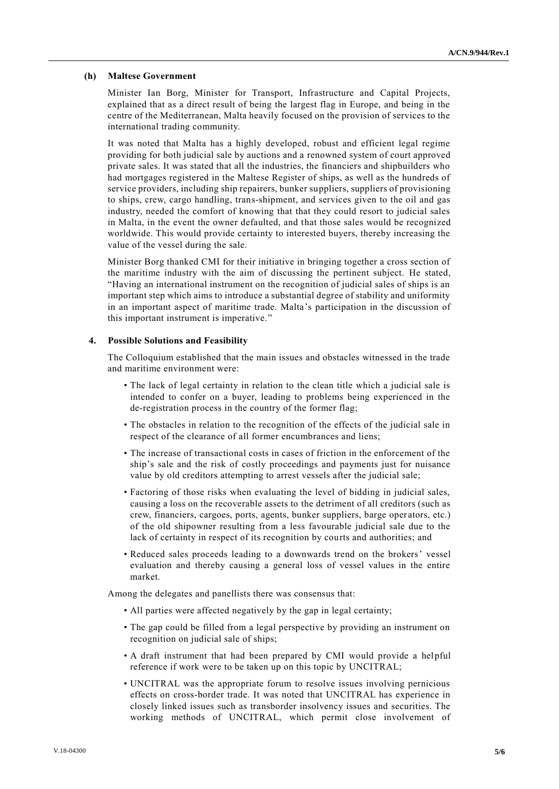#### **(h) Maltese Government**

Minister Ian Borg, Minister for Transport, Infrastructure and Capital Projects, explained that as a direct result of being the largest flag in Europe, and being in the centre of the Mediterranean, Malta heavily focused on the provision of services to the international trading community.

It was noted that Malta has a highly developed, robust and efficient legal regime providing for both judicial sale by auctions and a renowned system of court approved private sales. It was stated that all the industries, the financiers and shipbuilders who had mortgages registered in the Maltese Register of ships, as well as the hundreds of service providers, including ship repairers, bunker suppliers, suppliers of provisioning to ships, crew, cargo handling, trans-shipment, and services given to the oil and gas industry, needed the comfort of knowing that that they could resort to judicial sales in Malta, in the event the owner defaulted, and that those sales would be recognized worldwide. This would provide certainty to interested buyers, thereby increasing the value of the vessel during the sale.

Minister Borg thanked CMI for their initiative in bringing together a cross section of the maritime industry with the aim of discussing the pertinent subject. He stated, "Having an international instrument on the recognition of judicial sales of ships is an important step which aims to introduce a substantial degree of stability and uniformity in an important aspect of maritime trade. Malta's participation in the discussion of this important instrument is imperative."

#### **4. Possible Solutions and Feasibility**

The Colloquium established that the main issues and obstacles witnessed in the trade and maritime environment were:

- The lack of legal certainty in relation to the clean title which a judicial sale is intended to confer on a buyer, leading to problems being experienced in the de-registration process in the country of the former flag;
- The obstacles in relation to the recognition of the effects of the judicial sale in respect of the clearance of all former encumbrances and liens;
- The increase of transactional costs in cases of friction in the enforcement of the ship's sale and the risk of costly proceedings and payments just for nuisance value by old creditors attempting to arrest vessels after the judicial sale;
- Factoring of those risks when evaluating the level of bidding in judicial sales, causing a loss on the recoverable assets to the detriment of all creditors (such as crew, financiers, cargoes, ports, agents, bunker suppliers, barge oper ators, etc.) of the old shipowner resulting from a less favourable judicial sale due to the lack of certainty in respect of its recognition by courts and authorities; and
- Reduced sales proceeds leading to a downwards trend on the brokers' vessel evaluation and thereby causing a general loss of vessel values in the entire market.

Among the delegates and panellists there was consensus that:

- All parties were affected negatively by the gap in legal certainty;
- The gap could be filled from a legal perspective by providing an instrument on recognition on judicial sale of ships;
- A draft instrument that had been prepared by CMI would provide a helpful reference if work were to be taken up on this topic by UNCITRAL;
- UNCITRAL was the appropriate forum to resolve issues involving pernicious effects on cross-border trade. It was noted that UNCITRAL has experience in closely linked issues such as transborder insolvency issues and securities. The working methods of UNCITRAL, which permit close involvement of